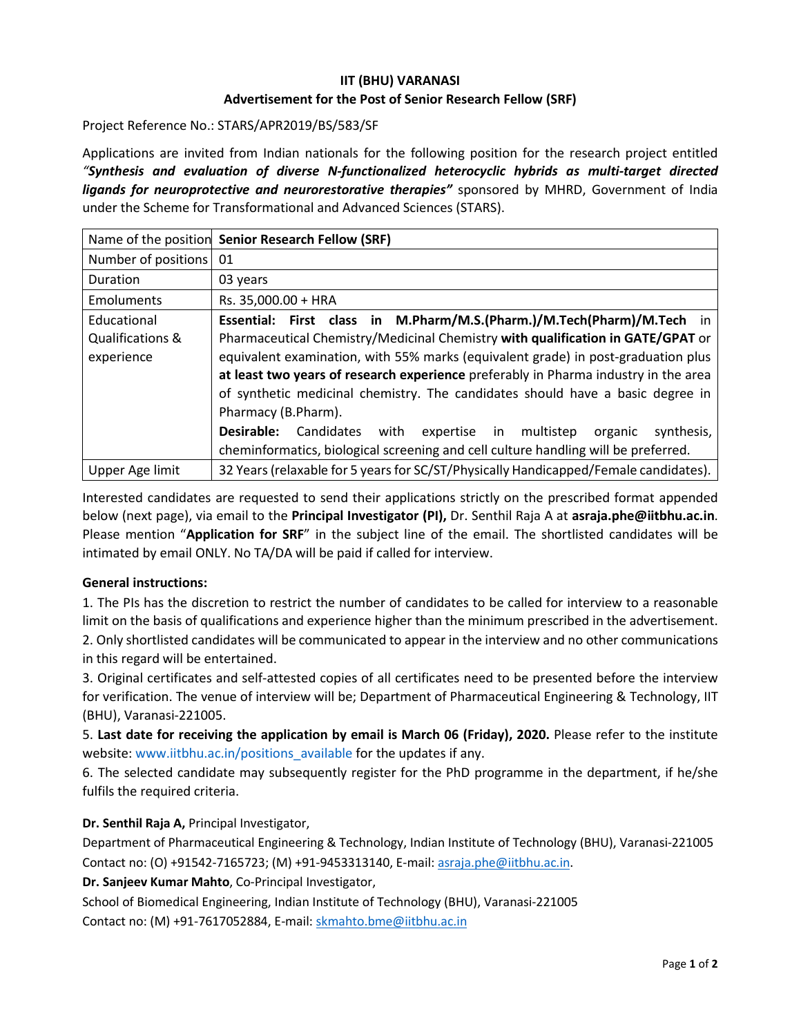# **IIT (BHU) VARANASI Advertisement for the Post of Senior Research Fellow (SRF)**

Project Reference No.: STARS/APR2019/BS/583/SF

Applications are invited from Indian nationals for the following position for the research project entitled *"Synthesis and evaluation of diverse N-functionalized heterocyclic hybrids as multi-target directed ligands for neuroprotective and neurorestorative therapies"* sponsored by MHRD, Government of India under the Scheme for Transformational and Advanced Sciences (STARS).

|                                                          | Name of the position Senior Research Fellow (SRF)                                                                                                                                                                                                                                                                                                                                                                                                                                                                                                                                                                           |  |  |  |
|----------------------------------------------------------|-----------------------------------------------------------------------------------------------------------------------------------------------------------------------------------------------------------------------------------------------------------------------------------------------------------------------------------------------------------------------------------------------------------------------------------------------------------------------------------------------------------------------------------------------------------------------------------------------------------------------------|--|--|--|
| Number of positions                                      | 01                                                                                                                                                                                                                                                                                                                                                                                                                                                                                                                                                                                                                          |  |  |  |
| Duration                                                 | 03 years                                                                                                                                                                                                                                                                                                                                                                                                                                                                                                                                                                                                                    |  |  |  |
| <b>Emoluments</b>                                        | Rs. 35,000.00 + HRA                                                                                                                                                                                                                                                                                                                                                                                                                                                                                                                                                                                                         |  |  |  |
| Educational<br><b>Qualifications &amp;</b><br>experience | Essential: First class in M.Pharm/M.S.(Pharm.)/M.Tech(Pharm)/M.Tech in<br>Pharmaceutical Chemistry/Medicinal Chemistry with qualification in GATE/GPAT or<br>equivalent examination, with 55% marks (equivalent grade) in post-graduation plus<br>at least two years of research experience preferably in Pharma industry in the area<br>of synthetic medicinal chemistry. The candidates should have a basic degree in<br>Pharmacy (B.Pharm).<br>Desirable:<br>Candidates<br>expertise in multistep<br>with<br>synthesis,<br>organic<br>cheminformatics, biological screening and cell culture handling will be preferred. |  |  |  |
| Upper Age limit                                          | 32 Years (relaxable for 5 years for SC/ST/Physically Handicapped/Female candidates).                                                                                                                                                                                                                                                                                                                                                                                                                                                                                                                                        |  |  |  |

Interested candidates are requested to send their applications strictly on the prescribed format appended below (next page), via email to the **Principal Investigator (PI),** Dr. Senthil Raja A at **asraja.phe@iitbhu.ac.in**. Please mention "**Application for SRF**" in the subject line of the email. The shortlisted candidates will be intimated by email ONLY. No TA/DA will be paid if called for interview.

#### **General instructions:**

1. The PIs has the discretion to restrict the number of candidates to be called for interview to a reasonable limit on the basis of qualifications and experience higher than the minimum prescribed in the advertisement. 2. Only shortlisted candidates will be communicated to appear in the interview and no other communications in this regard will be entertained.

3. Original certificates and self-attested copies of all certificates need to be presented before the interview for verification. The venue of interview will be; Department of Pharmaceutical Engineering & Technology, IIT (BHU), Varanasi-221005.

5. **Last date for receiving the application by email is March 06 (Friday), 2020.** Please refer to the institute website: www.iitbhu.ac.in/positions\_available for the updates if any.

6. The selected candidate may subsequently register for the PhD programme in the department, if he/she fulfils the required criteria.

## **Dr. Senthil Raja A,** Principal Investigator,

Department of Pharmaceutical Engineering & Technology, Indian Institute of Technology (BHU), Varanasi-221005 Contact no: (O) +91542-7165723; (M) +91-9453313140, E-mail: asraja.phe@iitbhu.ac.in.

#### **Dr. Sanjeev Kumar Mahto**, Co-Principal Investigator,

School of Biomedical Engineering, Indian Institute of Technology (BHU), Varanasi-221005 Contact no: (M) +91-7617052884, E-mail: skmahto.bme@iitbhu.ac.in